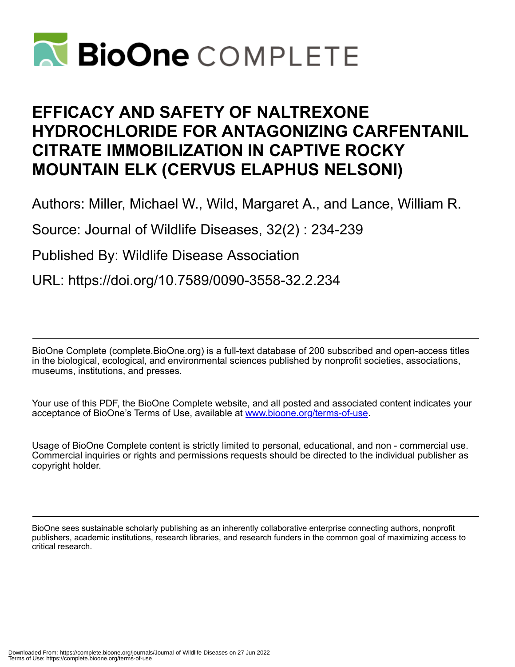

# **EFFICACY AND SAFETY OF NALTREXONE HYDROCHLORIDE FOR ANTAGONIZING CARFENTANIL CITRATE IMMOBILIZATION IN CAPTIVE ROCKY MOUNTAIN ELK (CERVUS ELAPHUS NELSONI)**

Authors: Miller, Michael W., Wild, Margaret A., and Lance, William R.

Source: Journal of Wildlife Diseases, 32(2) : 234-239

Published By: Wildlife Disease Association

URL: https://doi.org/10.7589/0090-3558-32.2.234

BioOne Complete (complete.BioOne.org) is a full-text database of 200 subscribed and open-access titles in the biological, ecological, and environmental sciences published by nonprofit societies, associations, museums, institutions, and presses.

Your use of this PDF, the BioOne Complete website, and all posted and associated content indicates your acceptance of BioOne's Terms of Use, available at www.bioone.org/terms-of-use.

Usage of BioOne Complete content is strictly limited to personal, educational, and non - commercial use. Commercial inquiries or rights and permissions requests should be directed to the individual publisher as copyright holder.

BioOne sees sustainable scholarly publishing as an inherently collaborative enterprise connecting authors, nonprofit publishers, academic institutions, research libraries, and research funders in the common goal of maximizing access to critical research.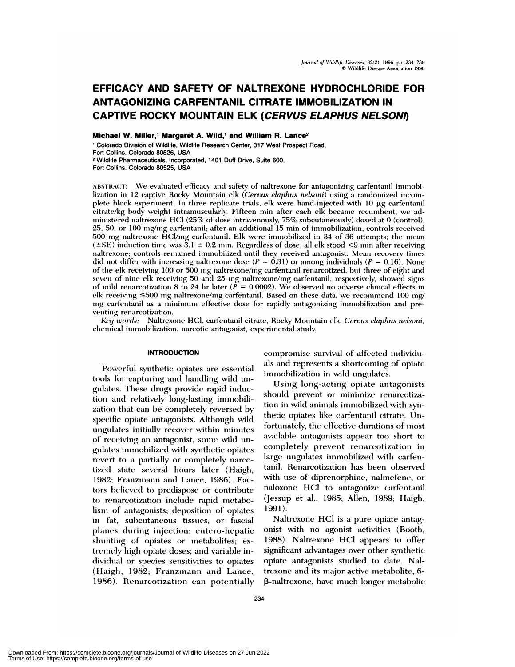## EFFICACY AND SAFETY OF NALTREXONE HYDROCHLORIDE FOR **ANTAGONIZING CARFENTANIL CITRATE IMMOBILIZATION IN CAPTIVE ROCKY MOUNTAIN ELK (CERVUS ELAPHUS NELSONI)**

Michael W. Miller,<sup>1</sup> Margaret A. Wild,<sup>1</sup> and William R. Lance<sup>2</sup>

<sup>1</sup> Colorado Division of Wildlife, Wildlife Research Center, 317 West Prospect Road, Fort Collins, Colorado 80526, USA <sup>2</sup> Wildlife Pharmaceuticals, Incorporated, 1401 Duff Drive, Suite 600,

Fort Collins, Colorado 80525, USA

ABSTRACT: We evaluated efficacy and safety of naltrexone for antagonizing carfentanil immobilization in 12 captive Rocky Mountain elk (Cervus elaphus nelsoni) using a randomized incomplete block experiment. In three replicate trials, elk were hand-injected with 10  $\mu$ g carfentanil citrate/kg body weight intramuscularly. Fifteen min after each elk became recumbent, we administered naltrexone HCl (25% of dose intravenously, 75% subcutaneously) dosed at 0 (control), 25, 50, or 100 mg/mg carfentanil; after an additional 15 min of immobilization, controls received 500 mg naltrexone HCl/mg carfentanil. Elk were immobilized in 34 of 36 attempts; the mean  $(\pm SE)$  induction time was  $3.1 \pm 0.2$  min. Regardless of dose, all elk stood <9 min after receiving naltrexone; controls remained immobilized until they received antagonist. Mean recovery times did not differ with increasing naltrexone dose ( $P = 0.31$ ) or among individuals ( $P = 0.16$ ). None of the elk receiving 100 or 500 mg naltrexone/mg carfentanil renarcotized, but three of eight and seven of nine elk receiving 50 and 25 mg naltrexone/mg carfentanil, respectively, showed signs of mild renarcotization 8 to 24 hr later ( $\tilde{P} = 0.0002$ ). We observed no adverse clinical effects in elk receiving  $\leq 500$  mg naltrexone/mg carfentanil. Based on these data, we recommend 100 mg/ mg carfentanil as a minimum effective dose for rapidly antagonizing immobilization and preventing renarcotization.

Key words: Naltrexone HCl, carfentanil citrate, Rocky Mountain elk, Cervus elaphus nelsoni, chemical immobilization, narcotic antagonist, experimental study.

### **INTRODUCTION**

Powerful synthetic opiates are essential tools for capturing and handling wild ungulates. These drugs provide rapid induction and relatively long-lasting immobilization that can be completely reversed by specific opiate antagonists. Although wild ungulates initially recover within minutes of receiving an antagonist, some wild ungulates immobilized with synthetic opiates revert to a partially or completely narcotized state several hours later (Haigh, 1982; Franzmann and Lance, 1986). Factors believed to predispose or contribute to renarcotization include rapid metabolism of antagonists; deposition of opiates in fat, subcutaneous tissues, or fascial planes during injection; entero-hepatic shunting of opiates or metabolites; extremely high opiate doses; and variable individual or species sensitivities to opiates (Haigh, 1982; Franzmann and Lance, 1986). Renarcotization can potentially compromise survival of affected individuals and represents a shortcoming of opiate immobilization in wild ungulates.

Using long-acting opiate antagonists should prevent or minimize renarcotization in wild animals immobilized with synthetic opiates like carfentanil citrate. Unfortunately, the effective durations of most available antagonists appear too short to completely prevent renarcotization in large ungulates immobilized with carfentanil. Renarcotization has been observed with use of diprenorphine, nalmefene, or naloxone HCl to antagonize carfentanil (Jessup et al., 1985; Allen, 1989; Haigh, 1991).

Naltrexone HCl is a pure opiate antagonist with no agonist activities (Booth, 1988). Naltrexone HCl appears to offer significant advantages over other synthetic opiate antagonists studied to date. Naltrexone and its major active metabolite, 6β-naltrexone, have much longer metabolic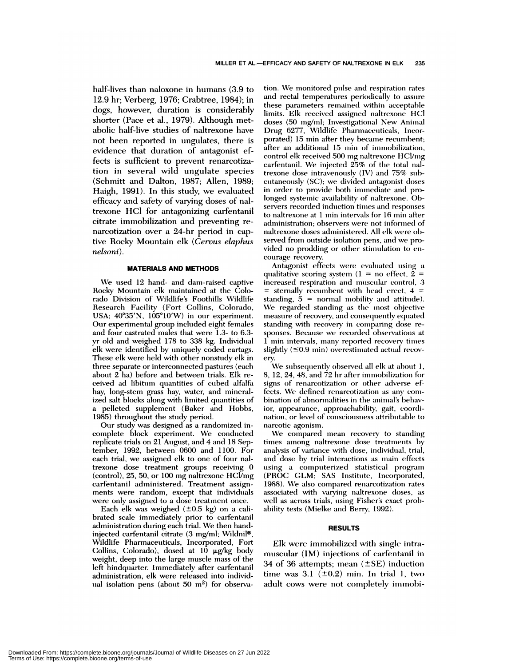half-lives than naloxone in humans (3.9 to 12.9 hr; Verberg, 1976; Crabtree, 1984); in dogs, however, duration is considerably shorter (Pace et al., 1979). Although metabolic half-live studies of naltrexone have not been reported in ungulates, there is evidence that duration of antagonist effects is sufficient to prevent renarcotization in several wild ungulate species (Schmitt and Dalton, 1987; Allen, 1989; Haigh, 1991). In this study, we evaluated efficacy and safety of varying doses of naltrexone HC1 for antagonizing carfentanil citrate immobilization and preventing re narcotization over a 24-hr period in capfive Rocky Mountain elk *(Cervus clap/ins nelsoni).*

#### **MATERIALS AND METHODS**

We used 12 hand- and dam-raised captive Rocky Mountain elk maintained at the Colorado Division of Wildlife's Foothills Wildlife Research Facility (Fort Collins, Colorado, USA;  $40^{\circ}35'N$ ,  $105^{\circ}10'W$ ) in our experiment. Our experimental group included eight females and four castrated males that were  $1.3$ - to 6.3yr old and weighed 178 to 338 kg. Individual elk were identified by uniquely coded eartags. These elk were held with other nonstudy elk in three separate or interconnected pastures (each about 2 ha) before and between trials. Elk re ceived ad libitum quantities of cubed alfalfa hay, long-stem grass hay, water, and mineralized salt blocks along with limited quantities of a peileted supplement (Baker and Hobbs, 1985) throughout the study period.

Our study was designed as a randomized incomplete block experiment. We conducted replicate trials on 21 August, and 4 and 18 September, 1992, between 0600 and 1100. For each trial, we assigned elk to one of four naltrexone dose treatment groups receiving 0 (control),  $25, 50$ , or  $100$  mg naltrexone HCl/mg carfentanil administered. Treatment assign ments were random, except that individuals were only assigned to a dose treatment once.

Each elk was weighed  $(\pm 0.5 \text{ kg})$  on a calibrated scale immediately prior to carfentanil administration during each trial. We then handinjected carfentanil citrate  $(3 \text{ mg/ml};$  Wildni $\mathbb{I}^{\circ}$ , Wildlife Pharmaceuticals, Incorporated, Fort Collins, Colorado), dosed at  $10 \mu g/kg$  body weight, deep into the large muscle mass of the left hindquarter. Immediately after carfentanil administration, elk were released into individual isolation pens (about  $50 \text{ m}^2$ ) for observa-

tion. We monitored pulse and respiration rates and rectal temperatures periodically to assure these parameters remained within acceptable limits. Elk received assigned naltrexone HCI doses (50 mg/ml; Investigational New Animal Drug 6277, Wildlife Pharmaceuticals, Incorporated) 15 min after they became recumbent; after an additional 15 min of immobilization, control elk received 500 mg naltrexone HCl/mg carfentanil. We injected  $25\%$  of the total naltrexone dose intravenously  $(IV)$  and  $75\%$  subcutaneously (SC); we divided antagonist doses in order to provide both immediate and prolonged systemic availability of naltrexone. Observers recorded induction times and responses to naltrexone at 1 min intervals for 16 min after administration; observers were not informed of naltrexone doses administered. All elk were observed from outside isolation pens, and we provided no prodding or other stimulation to encourage recovery.

Antagonist effects were evaluated using a qualitative scoring system  $(1 = no$  effect,  $2 =$ increased respiration and muscular control, 3 = sternally recumbent with head erect,  $4 =$ standing,  $5 =$  normal mobility and attitude). We regarded standing as the most objective measure of recovery, and consequently equated standing with recovery in comparing dose responses. Because we recorded observations at  $1$  min intervals, many reported recovery times slightly  $(50.9 \text{ min})$  overestimated actual recovery.

We subsequently observed all elk at about 1, 8, 12, 24, 48, and  $\overline{7}2$  hr after immobilization for signs of renarcotization or other adverse effects. We defined renarcotization as any combination of abnormalities in the animal's behavior, appearance, approachability, gait, coordination, or level of consciousness attributable to narcotic agonism.

We compared mean recovery to standing times among naltrexone dose treatments by analysis of variance with dose, individual, trial, and dose by trial interactions as main effects using a computerized statistical program (PROC GLM; SAS Institute, Incorporated, 1988). We also compared renarcotization rates associated with varying naltrexone doses, as well as across trials, using Fisher's exact probability tests (Mielke and Berry, 1992).

### **RESULTS**

adult cows were not completely immobi-Elk were immobilized with single intramuscular **(IM)** injections of carfentanil in 34 of 36 attempts; mean  $(\pm SE)$  induction time was  $3.1$  ( $\pm 0.2$ ) min. In trial 1, two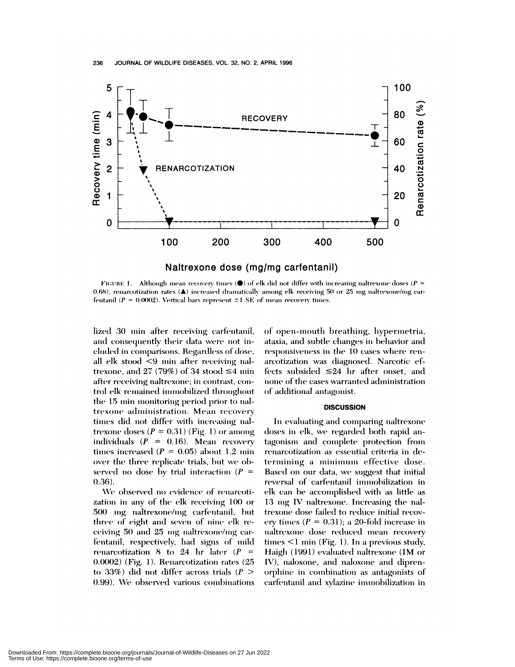

FIGURE 1. Although mean recovery times ( $\bullet$ ) of elk did not differ with increasing naltrexone doses ( $P =$ 0.68), renarcotization rates (A) increased dramatically among elk receiving 50 or 25 mg naltrexone/mg carfentanil ( $P = 0.0002$ ). Vertical bars represent  $\pm 1$  SE of mean recovery times.

lized 30 min after receiving carfentanil, and consequently their data were not included in comparisons. Regardless of dose, all elk stood <9 min after receiving naltrexone, and 27 (79%) of 34 stood  $\leq$ 4 min after receiving naltrexone; in contrast, control elk remained immobilized throughout the 15 min monitoring period prior to naltrexone administration. Mean recovery times did not differ with increasing naltrexone doses ( $P = 0.31$ ) (Fig. 1) or among individuals  $(P = 0.16)$ . Mean recovery times increased ( $P = 0.05$ ) about 1.2 min over the three replicate trials, but we observed no dose by trial interaction ( $P =$  $(0.36).$ 

We observed no evidence of renarcotization in any of the elk receiving 100 or 500 mg naltrexone/mg carfentanil, but three of eight and seven of nine elk receiving 50 and 25 mg naltrexone/mg carfentanil, respectively, had signs of mild renarcotization 8 to 24 hr later ( $P =$ 0.0002) (Fig. 1). Renarcotization rates (25 to 33%) did not differ across trials ( $P >$ 0.99). We observed various combinations

of open-mouth breathing, hypermetria, ataxia, and subtle changes in behavior and responsiveness in the 10 cases where renarcotization was diagnosed. Narcotic effects subsided  $\leq 24$  hr after onset, and none of the cases warranted administration of additional antagonist.

#### **DISCUSSION**

In evaluating and comparing naltrexone doses in elk, we regarded both rapid antagonism and complete protection from renarcotization as essential criteria in determining a minimum effective dose. Based on our data, we suggest that initial reversal of carfentanil immobilization in elk can be accomplished with as little as 13 mg IV naltrexone. Increasing the naltrexone dose failed to reduce initial recovery times ( $P = 0.31$ ); a 20-fold increase in naltrexone dose reduced mean recovery times  $\leq$  1 min (Fig. 1). In a previous study, Haigh (1991) evaluated naltrexone (IM or IV), naloxone, and naloxone and diprenorphine in combination as antagonists of carfentanil and xylazine immobilization in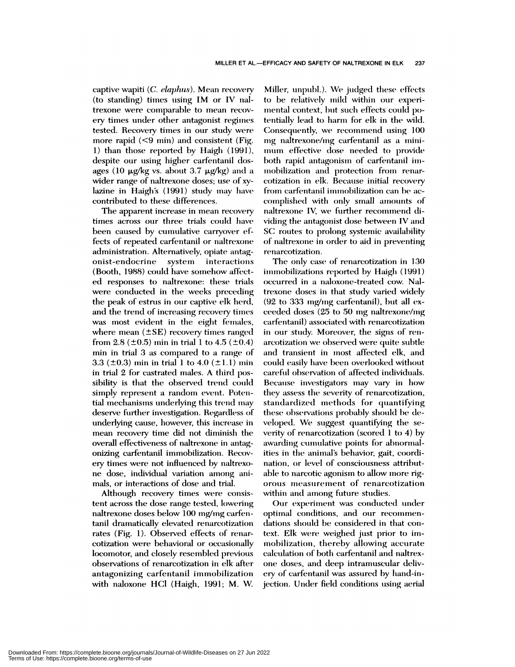captive wapiti *(C. clap/ins).* Mean recovery (to standing) times using IM or IV naltrexone were comparable to mean recov ery times under other antagonist regimes tested. Recovery times in our study were more rapid  $(< 9$  min) and consistent (Fig. 1) than those reported by Haigh  $(1991)$ , despite our using higher carfentanil dosages (10  $\mu$ g/kg vs. about 3.7  $\mu$ g/kg) and a wider range of naltrexone doses; use of xylazine in Haigh's (1991) study may have contributed to these differences.

The apparent increase in mean recovery times across our three trials could have been caused by cumulative carryover effects of repeated carfentanil or naltrexone administration. Alternatively, opiate antagonist-endocrine system interactions (Booth, 1988) could have somehow affected responses to naltrexone: these trials were conducted in the weeks preceding the peak of estrus in our captive elk herd, and the trend of increasing recovery times was most evident in the eight females, where mean  $(\pm SE)$  recovery times ranged from 2.8 ( $\pm$ 0.5) min in trial 1 to 4.5 ( $\pm$ 0.4) min in trial 3 as compared to a range of 3.3 ( $\pm$ 0.3) min in trial 1 to 4.0 ( $\pm$ 1.1) min in trial 2 for castrated males. A third possibility is that the observed trend could simply represent a random event. Potential mechanisms underlying this trend may deserve further investigation. Regardless of underlying cause, however, this increase in mean recovery time did not diminish the overall effectiveness of naltrexone in antagonizing carfentanil immobilization. Recovery times were not influenced by naltrexone dose, individual variation among animals, or interactions of dose and trial.

Although recovery times were consistent across the dose range tested, lowering naltrexone doses below 100 mg/mg carfentani! dramatically elevated renarcotization rates (Fig. 1). Observed effects of renar cotization were behavioral or occasionally locomotor, and closely resembled previous observations of renarcotization in elk after antagonizing carfentanil immobilization with naloxone HCl (Haigh, 1991; M. W.

Miller, unpubl.). We judged these effects to be relatively mild within our experimental context, but such effects could potentially lead to harm for elk in the wild. Consequently, we recommend using 100 mg naltrexone/mg carfentanil as a minimum effective dose needed to provide both rapid antagonism of carfentanil immobilization and protection from renarcotization in elk. Because initial recovery from carfentanil immobilization can be accomplished with only small amounts of naltrexone IV, we further recommend dividing the antagonist dose between IV and SC routes to prolong systemic availability of naltrexone in order to aid in preventing renarcotization.

The only case of renarcotization in 130 immobilizations reported by Haigh (1991) occurred in a naloxone-treated cow. Naltrexone doses in that study varied widely  $(92$  to 333 mg/mg carfentanil), but all exceeded doses  $(25 \text{ to } 50 \text{ mg } \text{naltrexone/mg})$ carfentanil) associated with renarcotization in our study. Moreover, the signs of arcotization we observed were quite subtle and transient in most affected elk, and could easily have been overlooked without careful observation of affected individuals. Because investigators may vary in how they assess the severity of renarcotization, standardized methods for quantifying these observations probably should be developed. We suggest quantifying the severity of renarcotization (scored  $1$  to  $4$ ) by awarding cumulative points for abnormalities in the animal's behavior, gait, coordination, or level of consciousness attributable to narcotic agonism to allow more rigorous measurement of renarcotization within and among future studies.

Our experiment was conducted under optimal conditions, and our dations should be considered in that context. Elk were weighed just prior to immobilization, thereby allowing accurate calculation of both carfentanil and naltrexone doses, and deep intramuscular delivery of carfentanil was assured by hand-injection. Under field conditions using aerial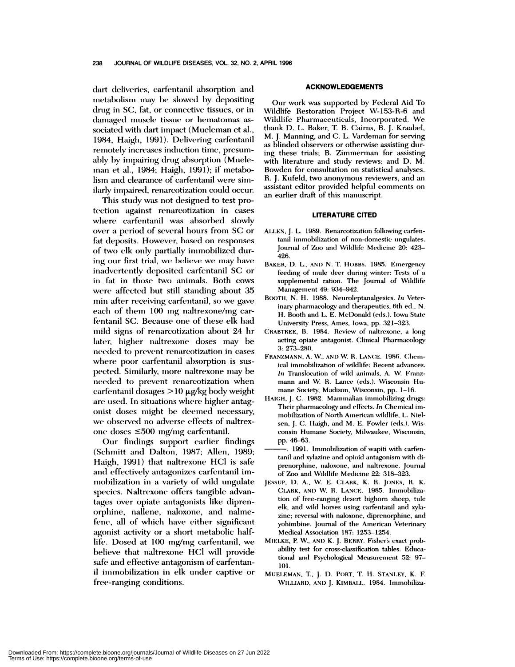dart deliveries, carfentanil absorption and metabolism may be slowed by depositing drug in SC, fat, or connective tissues, or in damaged muscle tissue or hematomas associated with dart impact (Mueleman et al., 1984, Haigh, 1991). Delivering carfentanil remotely increases induction time, presumably by impairing drug absorption (Mueleman et al., 1984; Haigh, 1991); if metabolism and clearance of carfentanil were similarly impaired, renarcotization could occur.

This study was not designed to test protection against renarcotization in cases where carfentanil was absorbed slowly over a period of several hours from SC or fat deposits. However, based on responses of two elk only partially immobilized during our first trial, we believe we may have inadvertently deposited carfentanil SC or in fat in those two animals. Both cows were affected but still standing about 35 min after receiving carfentanil, so we gave each of them 100 mg naltrexone/mg carfentanil SC. Because one of these elk had mild signs of renarcotization about 24 hr later, higher naltrexone doses may be needed to prevent renarcotization in cases where poor carfentanil absorption is suspected. Similarly, more naltrexone may be needed to prevent renarcotization when carfentanil dosages  $>10 \mu$ g/kg body weight are used. In situations where higher antagonist doses might be deemed necessary, we observed no adverse effects of naltrexone doses  $\leq 500$  mg/mg carfentanil.

Our findings support earlier findings (Schmitt and Dalton, 1987; Allen, 1989; Haigh, 1991) that naltrexone HCl is safe and effectively antagonizes carfentanil immobilization in a variety of wild ungulate species. Naltrexone offers tangible advantages over opiate antagonists like diprenorphine, nallene, naloxone, and nalmefene, all of which have either significant agonist activity or a short metabolic halflife. Dosed at 100 mg/mg carfentanil, we believe that naltrexone HCl will provide safe and effective antagonism of carfentanil immobilization in elk under captive or free-ranging conditions.

#### **ACKNOWLEDGEMENTS**

Our work was supported by Federal Aid To Wildlife Restoration Project W-153-R-6 and Wildlife Pharmaceuticals, Incorporated. We thank D. L. Baker, T. B. Cairns, B. J. Kraabel, **M.** J. Manning, and C. **L.** Vardeman for serving as blinded observers or otherwise assisting during these trials; B. Zimmerman for assisting with literature and study reviews; and D. M. Bowden for consultation on statistical analyses. R. J. Kufeld, two anonymous reviewers, and an assistant editor provided helpful comments on an earlier draft of this manuscript.

#### **LITERATURE CITED**

- ALLEN, J. L. 1989. Renarcotization following carfentanil immobilization of non-domestic ungulates. Journal of Zoo and Wildlife Medicine 20: 423- 426.
- BAKER, D. L., ANI) N. T. hoBBS. 1985. Emergency feeding of mule deer during winter: Tests of a supplemental ration. The Journal of Wildlife Management 49: 934-942.
- BOOTH, N. H. 1988. Neuroleptanalgesics. *In* Veterinary pharmacology and therapeutics, 6th ed., N. H. Booth and L. E. McDonald (eds.). Iowa State University Press, Ames, Iowa, pp. 321-323.
- CRABTREE, B. 1984. Review of naitrexone, a long acting opiate antagonist. Clinical Pharmacology 3: 273-280.
- FRANZMANN, A. W., AND W. R. LANCE. 1986. Chemical immobilization of wildlife: Recent advances. *In* Translocation of wild animals, A. W. Franzmann and W. R. Lance (eds.). Wisconsin Humane Society, Madison, Wisconsin, pp. **1-16.**
- HAIGH, J. C. 1982. Mammalian immobilizing drugs: Their pharmacology and effects. *in* Chemical im mobilization of North American wildlife, L. Nielsen, J. C. Haigh, and M. E. Fowler (eds.). Wisconsin Humane Society, Milwaukee, Wisconsin, pp. 46-63.
- 1991. Immobilization of wapiti with carfentanil and xyiazine and opioid antagonism with di prenorphine, naloxone, and naltrexone. Journal of Zoo and Wildlife Medicine 22: 318-323.
- **JE5SUP,** D. A., W. E. CLARK, K. R. **JONES,** R. K. CLARK, AND W. R. LANCE. 1985. Immobilization of free-ranging desert bighorn sheep, tule elk, and wild horses using carfentanil and xylazine; reversal with naloxone, diprenorphine, and yohimbine. Journal of the American Veterinary Medical Association 187: 1253-1254.
- MIELKE, P. W, **AND** K. J. BERRY. Fisher's exact probability test for cross-classification tables. Educational and Psychological Measurement 52: 97- 101.
- MUELEMAN, T., J. D. PORT, T. H. STANLEY, K. F. WILLIARD, AND J. KIMBALL.. 1984. Immobiliza-